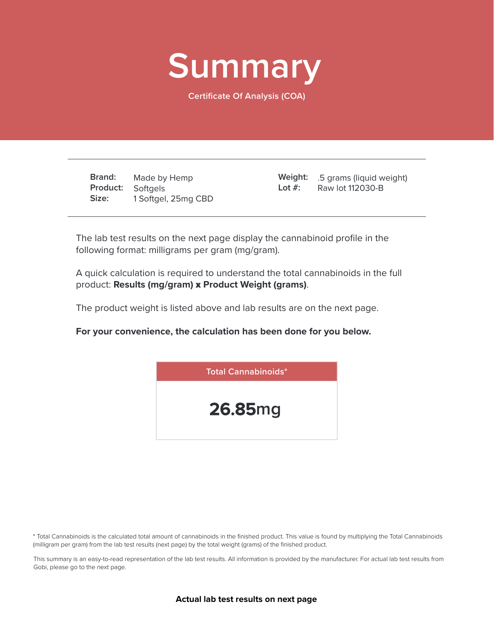

**Certificate Of Analysis (COA)**

**Brand: Product:** Softgels **Size:** Made by Hemp 1 Softgel, 25mg CBD

.5 grams (liquid weight) **Weight:** Raw lot 112030-B **Lot #:**

The lab test results on the next page display the cannabinoid profile in the following format: milligrams per gram (mg/gram).

A quick calculation is required to understand the total cannabinoids in the full product: **Results (mg/gram)** x **Product Weight (grams)**.

The product weight is listed above and lab results are on the next page.

**For your convenience, the calculation has been done for you below.**



\* Total Cannabinoids is the calculated total amount of cannabinoids in the finished product. This value is found by multiplying the Total Cannabinoids (milligram per gram) from the lab test results (next page) by the total weight (grams) of the finished product.

This summary is an easy-to-read representation of the lab test results. All information is provided by the manufacturer. For actual lab test results from Gobi, please go to the next page.